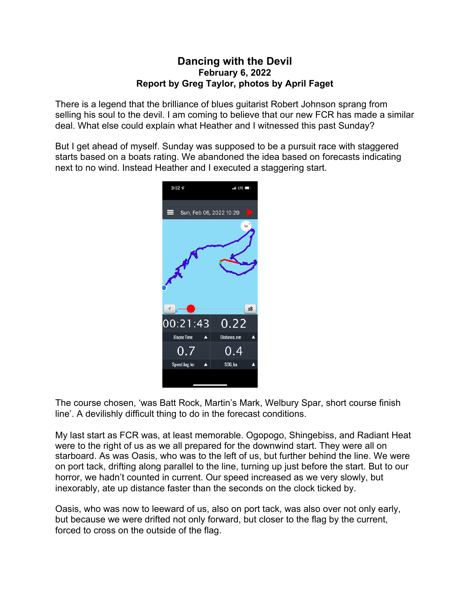## **Dancing with the Devil February 6, 2022 Report by Greg Taylor, photos by April Faget**

There is a legend that the brilliance of blues guitarist Robert Johnson sprang from selling his soul to the devil. I am coming to believe that our new FCR has made a similar deal. What else could explain what Heather and I witnessed this past Sunday?

But I get ahead of myself. Sunday was supposed to be a pursuit race with staggered starts based on a boats rating. We abandoned the idea based on forecasts indicating next to no wind. Instead Heather and I executed a staggering start.



The course chosen, 'was Batt Rock, Martin's Mark, Welbury Spar, short course finish line'. A devilishly difficult thing to do in the forecast conditions.

My last start as FCR was, at least memorable. Ogopogo, Shingebiss, and Radiant Heat were to the right of us as we all prepared for the downwind start. They were all on starboard. As was Oasis, who was to the left of us, but further behind the line. We were on port tack, drifting along parallel to the line, turning up just before the start. But to our horror, we hadn't counted in current. Our speed increased as we very slowly, but inexorably, ate up distance faster than the seconds on the clock ticked by.

Oasis, who was now to leeward of us, also on port tack, was also over not only early, but because we were drifted not only forward, but closer to the flag by the current, forced to cross on the outside of the flag.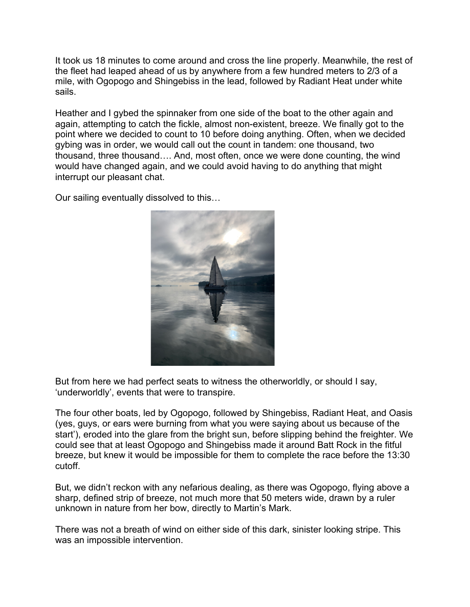It took us 18 minutes to come around and cross the line properly. Meanwhile, the rest of the fleet had leaped ahead of us by anywhere from a few hundred meters to 2/3 of a mile, with Ogopogo and Shingebiss in the lead, followed by Radiant Heat under white sails.

Heather and I gybed the spinnaker from one side of the boat to the other again and again, attempting to catch the fickle, almost non-existent, breeze. We finally got to the point where we decided to count to 10 before doing anything. Often, when we decided gybing was in order, we would call out the count in tandem: one thousand, two thousand, three thousand…. And, most often, once we were done counting, the wind would have changed again, and we could avoid having to do anything that might interrupt our pleasant chat.

Our sailing eventually dissolved to this…



But from here we had perfect seats to witness the otherworldly, or should I say, 'underworldly', events that were to transpire.

The four other boats, led by Ogopogo, followed by Shingebiss, Radiant Heat, and Oasis (yes, guys, or ears were burning from what you were saying about us because of the start'), eroded into the glare from the bright sun, before slipping behind the freighter. We could see that at least Ogopogo and Shingebiss made it around Batt Rock in the fitful breeze, but knew it would be impossible for them to complete the race before the 13:30 cutoff.

But, we didn't reckon with any nefarious dealing, as there was Ogopogo, flying above a sharp, defined strip of breeze, not much more that 50 meters wide, drawn by a ruler unknown in nature from her bow, directly to Martin's Mark.

There was not a breath of wind on either side of this dark, sinister looking stripe. This was an impossible intervention.